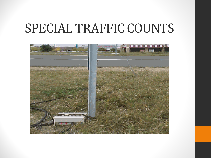### SPECIAL TRAFFIC COUNTS

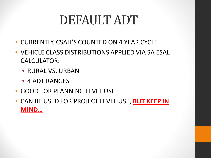# DEFAULT ADT

- CURRENTLY, CSAH'S COUNTED ON 4 YEAR CYCLE
- VEHICLE CLASS DISTRIBUTIONS APPLIED VIA SA ESAL CALCULATOR:
	- RURAL VS. URBAN
	- 4 ADT RANGES
- GOOD FOR PLANNING LEVEL USE
- CAN BE USED FOR PROJECT LEVEL USE, **BUT KEEP IN MIND…**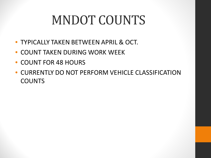# MNDOT COUNTS

- TYPICALLY TAKEN BETWEEN APRIL & OCT.
- COUNT TAKEN DURING WORK WEEK
- COUNT FOR 48 HOURS
- CURRENTLY DO NOT PERFORM VEHICLE CLASSIFICATION **COUNTS**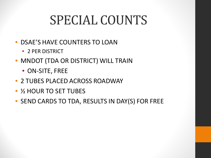# SPECIAL COUNTS

- DSAE'S HAVE COUNTERS TO LOAN
	- 2 PER DISTRICT
- MNDOT (TDA OR DISTRICT) WILL TRAIN
	- ON-SITE, FREE
- 2 TUBES PLACED ACROSS ROADWAY
- $\frac{1}{2}$  HOUR TO SET TUBES
- SEND CARDS TO TDA, RESULTS IN DAY(S) FOR FREE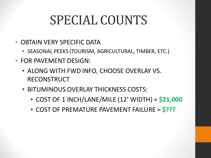# SPECIAL COUNTS

- OBTAIN VERY SPECIFIC DATA
	- SEASONAL PEEKS (TOURISM, AGRICULTURAL, TIMBER, ETC.)
- FOR PAVEMENT DESIGN:
	- ALONG WITH FWD INFO, CHOOSE OVERLAY VS. RECONSTRUCT
	- BITUMINOUS OVERLAY THICKNESS COSTS:
		- COST OF 1 INCH/LANE/MILE (12' WIDTH) = **\$21,000**
		- COST OF PREMATURE PAVEMENT FAILURE = **\$???**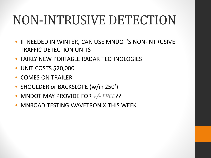# NON-INTRUSIVE DETECTION

- IF NEEDED IN WINTER, CAN USE MNDOT'S NON-INTRUSIVE TRAFFIC DETECTION UNITS
- FAIRLY NEW PORTABLE RADAR TECHNOLOGIES
- UNIT COSTS \$20,000
- COMES ON TRAILER
- SHOULDER or BACKSLOPE (w/in 250')
- MNDOT MAY PROVIDE FOR *+/- FREE??*
- MNROAD TESTING WAVETRONIX THIS WEEK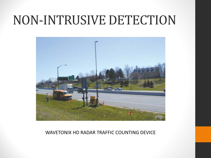### NON-INTRUSIVE DETECTION



#### WAVETONIX HD RADAR TRAFFIC COUNTING DEVICE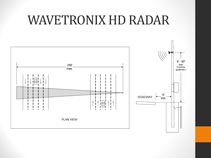### WAVETRONIX HD RADAR

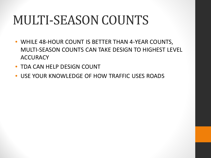# MULTI-SEASON COUNTS

- WHILE 48-HOUR COUNT IS BETTER THAN 4-YEAR COUNTS, MULTI-SEASON COUNTS CAN TAKE DESIGN TO HIGHEST LEVEL **ACCURACY**
- TDA CAN HELP DESIGN COUNT
- USE YOUR KNOWLEDGE OF HOW TRAFFIC USES ROADS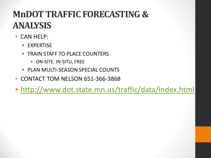### **MnDOT TRAFFIC FORECASTING & ANALYSIS**

- CAN HELP:
	- EXPERTISE
	- TRAIN STAFF TO PLACE COUNTERS
		- ON-SITE, IN-SITU, FREE
	- PLAN MULTI-SEASON SPECIAL COUNTS
- CONTACT TOM NELSON 651-366-3868
- <http://www.dot.state.mn.us/traffic/data/index.html>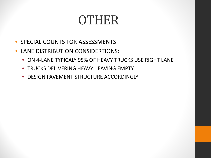## OTHER

- SPECIAL COUNTS FOR ASSESSMENTS
- LANE DISTRIBUTION CONSIDERTIONS:
	- ON 4-LANE TYPICALY 95% OF HEAVY TRUCKS USE RIGHT LANE
	- TRUCKS DELIVERING HEAVY, LEAVING EMPTY
	- DESIGN PAVEMENT STRUCTURE ACCORDINGLY